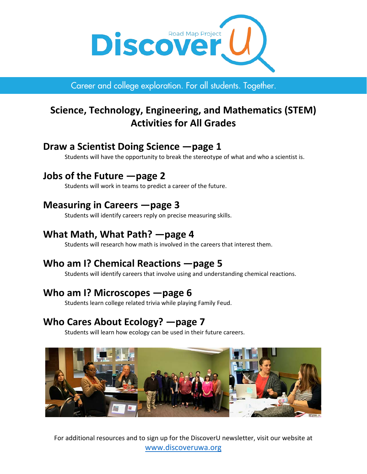

Career and college exploration. For all students. Together.

# **Science, Technology, Engineering, and Mathematics (STEM) Activities for All Grades**

## **Draw a Scientist Doing Science —page 1**

Students will have the opportunity to break the stereotype of what and who a scientist is.

## **Jobs of the Future —page 2**

Students will work in teams to predict a career of the future.

## **Measuring in Careers —page 3**

Students will identify careers reply on precise measuring skills.

## **What Math, What Path? —page 4**

Students will research how math is involved in the careers that interest them.

# **Who am I? Chemical Reactions —page 5**

Students will identify careers that involve using and understanding chemical reactions.

## **Who am I? Microscopes —page 6**

Students learn college related trivia while playing Family Feud.

## **Who Cares About Ecology? —page 7**

Students will learn how ecology can be used in their future careers.



For additional resources and to sign up for the DiscoverU newsletter, visit our website at [www.discoveruwa.org](http://www.discoveruwa.org/)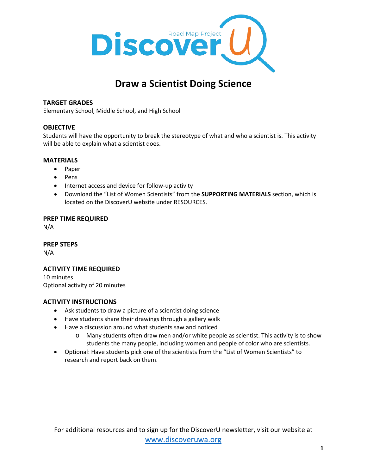

# **Draw a Scientist Doing Science**

## **TARGET GRADES**

Elementary School, Middle School, and High School

## **OBJECTIVE**

Students will have the opportunity to break the stereotype of what and who a scientist is. This activity will be able to explain what a scientist does.

#### **MATERIALS**

- Paper
- Pens
- Internet access and device for follow-up activity
- Download the "List of Women Scientists" from the **SUPPORTING MATERIALS** section, which is located on the DiscoverU website under RESOURCES.

#### **PREP TIME REQUIRED**

N/A

#### **PREP STEPS**

N/A

## **ACTIVITY TIME REQUIRED**

10 minutes Optional activity of 20 minutes

- Ask students to draw a picture of a scientist doing science
- Have students share their drawings through a gallery walk
- Have a discussion around what students saw and noticed
	- o Many students often draw men and/or white people as scientist. This activity is to show students the many people, including women and people of color who are scientists.
- Optional: Have students pick one of the scientists from the "List of Women Scientists" to research and report back on them.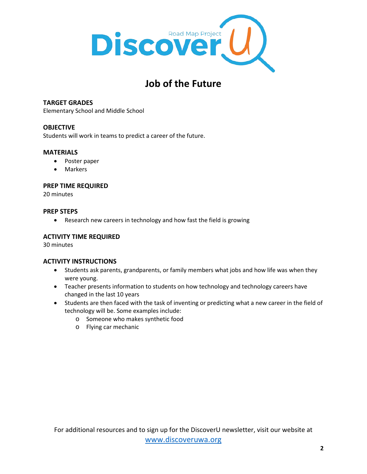

# **Job of the Future**

## **TARGET GRADES**

Elementary School and Middle School

## **OBJECTIVE**

Students will work in teams to predict a career of the future.

#### **MATERIALS**

- Poster paper
- Markers

#### **PREP TIME REQUIRED**

20 minutes

#### **PREP STEPS**

• Research new careers in technology and how fast the field is growing

## **ACTIVITY TIME REQUIRED**

30 minutes

- Students ask parents, grandparents, or family members what jobs and how life was when they were young.
- Teacher presents information to students on how technology and technology careers have changed in the last 10 years
- Students are then faced with the task of inventing or predicting what a new career in the field of technology will be. Some examples include:
	- o Someone who makes synthetic food
	- o Flying car mechanic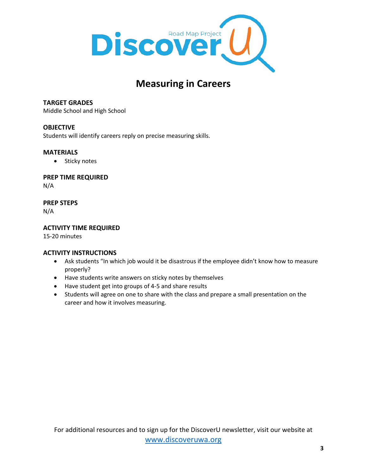

# **Measuring in Careers**

## **TARGET GRADES**

Middle School and High School

## **OBJECTIVE**

Students will identify careers reply on precise measuring skills.

## **MATERIALS**

• Sticky notes

## **PREP TIME REQUIRED**

N/A

## **PREP STEPS**

N/A

## **ACTIVITY TIME REQUIRED**

15-20 minutes

- Ask students "In which job would it be disastrous if the employee didn't know how to measure properly?
- Have students write answers on sticky notes by themselves
- Have student get into groups of 4-5 and share results
- Students will agree on one to share with the class and prepare a small presentation on the career and how it involves measuring.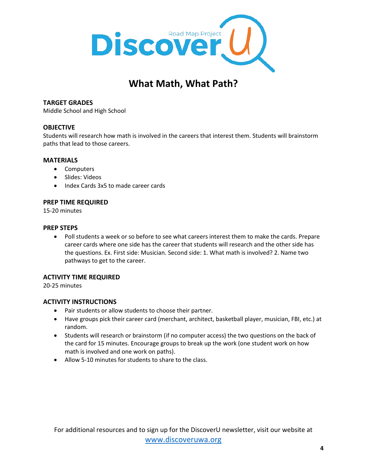

# **What Math, What Path?**

## **TARGET GRADES**

Middle School and High School

## **OBJECTIVE**

Students will research how math is involved in the careers that interest them. Students will brainstorm paths that lead to those careers.

#### **MATERIALS**

- Computers
- Slides: Videos
- Index Cards 3x5 to made career cards

#### **PREP TIME REQUIRED**

15-20 minutes

#### **PREP STEPS**

• Poll students a week or so before to see what careers interest them to make the cards. Prepare career cards where one side has the career that students will research and the other side has the questions. Ex. First side: Musician. Second side: 1. What math is involved? 2. Name two pathways to get to the career.

#### **ACTIVITY TIME REQUIRED**

20-25 minutes

- Pair students or allow students to choose their partner.
- Have groups pick their career card (merchant, architect, basketball player, musician, FBI, etc.) at random.
- Students will research or brainstorm (if no computer access) the two questions on the back of the card for 15 minutes. Encourage groups to break up the work (one student work on how math is involved and one work on paths).
- Allow 5-10 minutes for students to share to the class.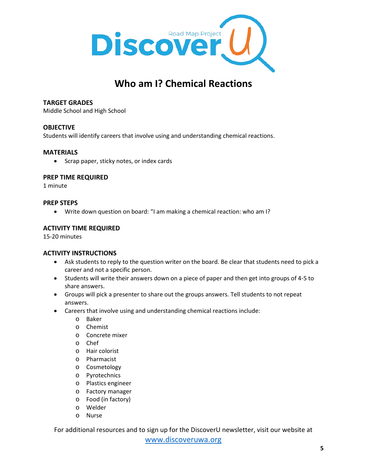

# **Who am I? Chemical Reactions**

## **TARGET GRADES**

Middle School and High School

#### **OBJECTIVE**

Students will identify careers that involve using and understanding chemical reactions.

#### **MATERIALS**

• Scrap paper, sticky notes, or index cards

## **PREP TIME REQUIRED**

1 minute

## **PREP STEPS**

• Write down question on board: "I am making a chemical reaction: who am I?

## **ACTIVITY TIME REQUIRED**

15-20 minutes

## **ACTIVITY INSTRUCTIONS**

- Ask students to reply to the question writer on the board. Be clear that students need to pick a career and not a specific person.
- Students will write their answers down on a piece of paper and then get into groups of 4-5 to share answers.
- Groups will pick a presenter to share out the groups answers. Tell students to not repeat answers.
- Careers that involve using and understanding chemical reactions include:
	- o Baker
	- o Chemist
	- o Concrete mixer
	- o Chef
	- o Hair colorist
	- o Pharmacist
	- o Cosmetology
	- o Pyrotechnics
	- o Plastics engineer
	- o Factory manager
	- o Food (in factory)
	- o Welder
	- o Nurse

For additional resources and to sign up for the DiscoverU newsletter, visit our website at [www.discoveruwa.org](http://www.discoveruwa.org/)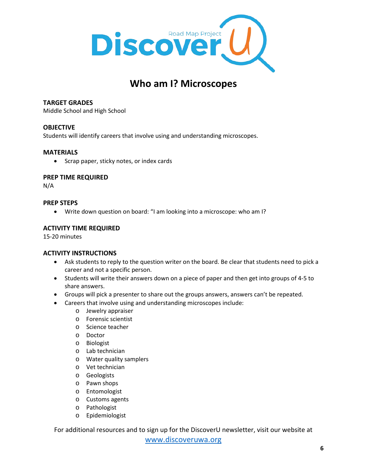

## **Who am I? Microscopes**

## **TARGET GRADES**

Middle School and High School

## **OBJECTIVE**

Students will identify careers that involve using and understanding microscopes.

#### **MATERIALS**

• Scrap paper, sticky notes, or index cards

## **PREP TIME REQUIRED**

N/A

## **PREP STEPS**

• Write down question on board: "I am looking into a microscope: who am I?

## **ACTIVITY TIME REQUIRED**

15-20 minutes

## **ACTIVITY INSTRUCTIONS**

- Ask students to reply to the question writer on the board. Be clear that students need to pick a career and not a specific person.
- Students will write their answers down on a piece of paper and then get into groups of 4-5 to share answers.
- Groups will pick a presenter to share out the groups answers, answers can't be repeated.
- Careers that involve using and understanding microscopes include:
	- o Jewelry appraiser
	- o Forensic scientist
	- o Science teacher
	- o Doctor
	- o Biologist
	- o Lab technician
	- o Water quality samplers
	- o Vet technician
	- o Geologists
	- o Pawn shops
	- o Entomologist
	- o Customs agents
	- o Pathologist
	- o Epidemiologist

For additional resources and to sign up for the DiscoverU newsletter, visit our website at [www.discoveruwa.org](http://www.discoveruwa.org/)